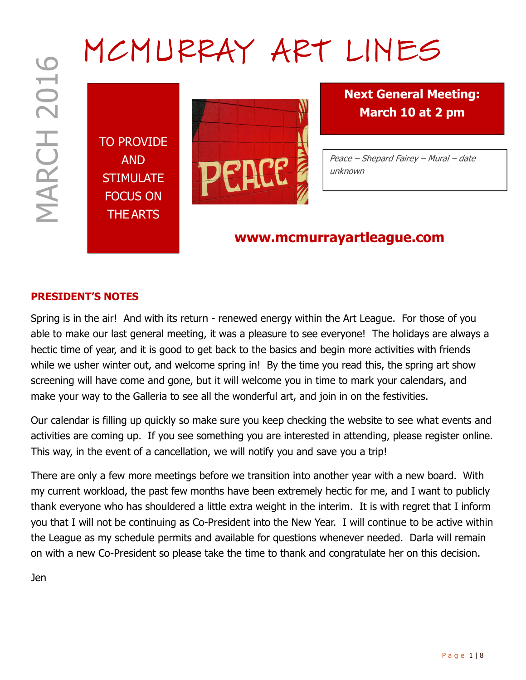# MCMURRAY ART LINES

TO PROVIDE AND **STIMULATE** FOCUS ON THE ARTS



Next General Meeting: March 10 at 2 pm

Peace – Shepard Fairey – Mural – date unknown

## www.mcmurrayartleague.com

#### PRESIDENT'S NOTES

P B a g e 1 P a g e 1 P a g e 1 P a g e 1 P a g e 1 P a g e 1 P a g e 1 P a g e 1 P a g e 1 P a g e 1 P a g e 1 P a g e 1 P a g e 1 P a g e 1 P a g e 1 P a g e 1 P a g e 1 P a g e 1 P a g e 1 P a g e 1 P a g e 1 P a g e Spring is in the air! And with its return - renewed energy within the Art League. For those of you able to make our last general meeting, it was a pleasure to see everyone! The holidays are always a hectic time of year, and it is good to get back to the basics and begin more activities with friends while we usher winter out, and welcome spring in! By the time you read this, the spring art show screening will have come and gone, but it will welcome you in time to mark your calendars, and make your way to the Galleria to see all the wonderful art, and join in on the festivities.

Our calendar is filling up quickly so make sure you keep checking the website to see what events and activities are coming up. If you see something you are interested in attending, please register online. This way, in the event of a cancellation, we will notify you and save you a trip!

There are only a few more meetings before we transition into another year with a new board. With my current workload, the past few months have been extremely hectic for me, and I want to publicly thank everyone who has shouldered a little extra weight in the interim. It is with regret that I inform you that I will not be continuing as Co-President into the New Year. I will continue to be active within the League as my schedule permits and available for questions whenever needed. Darla will remain on with a new Co-President so please take the time to thank and congratulate her on this decision.

Jen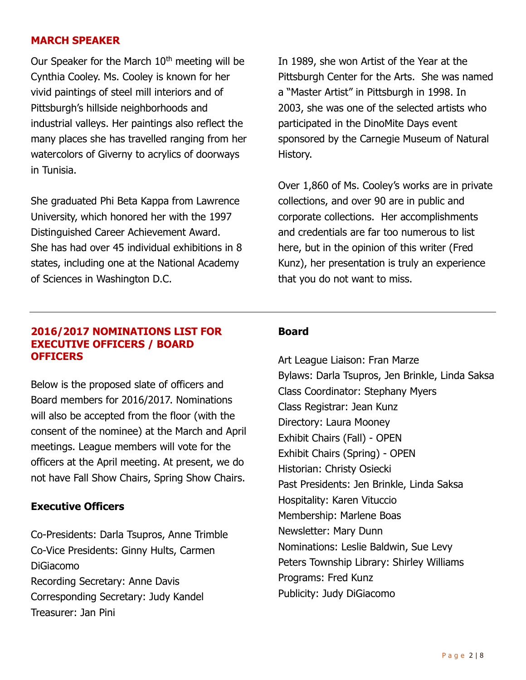#### MARCH SPEAKER

Our Speaker for the March  $10<sup>th</sup>$  meeting will be Cynthia Cooley. Ms. Cooley is known for her vivid paintings of steel mill interiors and of Pittsburgh's hillside neighborhoods and industrial valleys. Her paintings also reflect the many places she has travelled ranging from her watercolors of Giverny to acrylics of doorways in Tunisia.

She graduated Phi Beta Kappa from Lawrence University, which honored her with the 1997 Distinguished Career Achievement Award. She has had over 45 individual exhibitions in 8 states, including one at the National Academy of Sciences in Washington D.C.

In 1989, she won Artist of the Year at the Pittsburgh Center for the Arts. She was named a "Master Artist" in Pittsburgh in 1998. In 2003, she was one of the selected artists who participated in the DinoMite Days event sponsored by the Carnegie Museum of Natural History.

Over 1,860 of Ms. Cooley's works are in private collections, and over 90 are in public and corporate collections. Her accomplishments and credentials are far too numerous to list here, but in the opinion of this writer (Fred Kunz), her presentation is truly an experience that you do not want to miss.

#### 2016/2017 NOMINATIONS LIST FOR EXECUTIVE OFFICERS / BOARD **OFFICERS**

Below is the proposed slate of officers and Board members for 2016/2017. Nominations will also be accepted from the floor (with the consent of the nominee) at the March and April meetings. League members will vote for the officers at the April meeting. At present, we do not have Fall Show Chairs, Spring Show Chairs.

#### Executive Officers

Co-Presidents: Darla Tsupros, Anne Trimble Co-Vice Presidents: Ginny Hults, Carmen DiGiacomo Recording Secretary: Anne Davis Corresponding Secretary: Judy Kandel Treasurer: Jan Pini

#### Board

Art League Liaison: Fran Marze Bylaws: Darla Tsupros, Jen Brinkle, Linda Saksa Class Coordinator: Stephany Myers Class Registrar: Jean Kunz Directory: Laura Mooney Exhibit Chairs (Fall) - OPEN Exhibit Chairs (Spring) - OPEN Historian: Christy Osiecki Past Presidents: Jen Brinkle, Linda Saksa Hospitality: Karen Vituccio Membership: Marlene Boas Newsletter: Mary Dunn Nominations: Leslie Baldwin, Sue Levy Peters Township Library: Shirley Williams Programs: Fred Kunz Publicity: Judy DiGiacomo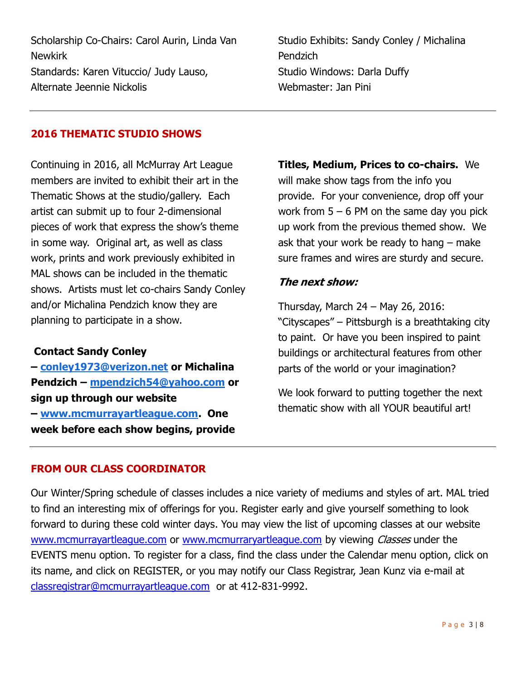Scholarship Co-Chairs: Carol Aurin, Linda Van Newkirk Standards: Karen Vituccio/ Judy Lauso, Alternate Jeennie Nickolis

Studio Exhibits: Sandy Conley / Michalina Pendzich Studio Windows: Darla Duffy Webmaster: Jan Pini

#### 2016 THEMATIC STUDIO SHOWS

Continuing in 2016, all McMurray Art League members are invited to exhibit their art in the Thematic Shows at the studio/gallery. Each artist can submit up to four 2-dimensional pieces of work that express the show's theme in some way. Original art, as well as class work, prints and work previously exhibited in MAL shows can be included in the thematic shows. Artists must let co-chairs Sandy Conley and/or Michalina Pendzich know they are planning to participate in a show.

#### Contact Sandy Conley

– conley1973@verizon.net or Michalina Pendzich – mpendzich54@yahoo.com or sign up through our website – www.mcmurrayartleague.com. One week before each show begins, provide

Titles, Medium, Prices to co-chairs. We will make show tags from the info you provide. For your convenience, drop off your work from  $5 - 6$  PM on the same day you pick up work from the previous themed show. We ask that your work be ready to hang – make sure frames and wires are sturdy and secure.

#### The next show:

Thursday, March 24 – May 26, 2016: "Cityscapes" – Pittsburgh is a breathtaking city to paint. Or have you been inspired to paint buildings or architectural features from other parts of the world or your imagination?

We look forward to putting together the next thematic show with all YOUR beautiful art!

#### FROM OUR CLASS COORDINATOR

Our Winter/Spring schedule of classes includes a nice variety of mediums and styles of art. MAL tried to find an interesting mix of offerings for you. Register early and give yourself something to look forward to during these cold winter days. You may view the list of upcoming classes at our website www.mcmurrayartleague.com or www.mcmurraryartleague.com by viewing *Classes* under the EVENTS menu option. To register for a class, find the class under the Calendar menu option, click on its name, and click on REGISTER, or you may notify our Class Registrar, Jean Kunz via e-mail at classregistrar@mcmurrayartleague.com or at 412-831-9992.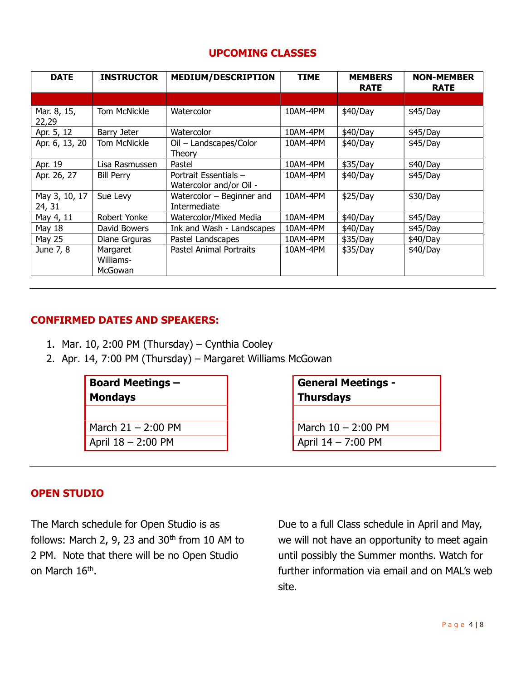#### UPCOMING CLASSES

| <b>DATE</b>             | <b>INSTRUCTOR</b>                | <b>MEDIUM/DESCRIPTION</b>                        | <b>TIME</b> | <b>MEMBERS</b><br><b>RATE</b> | <b>NON-MEMBER</b><br><b>RATE</b> |
|-------------------------|----------------------------------|--------------------------------------------------|-------------|-------------------------------|----------------------------------|
|                         |                                  |                                                  |             |                               |                                  |
| Mar. 8, 15,<br>22,29    | <b>Tom McNickle</b>              | Watercolor                                       | 10AM-4PM    | \$40/Day                      | \$45/Day                         |
| Apr. 5, 12              | Barry Jeter                      | Watercolor                                       | 10AM-4PM    | \$40/Day                      | \$45/Day                         |
| Apr. 6, 13, 20          | <b>Tom McNickle</b>              | Oil - Landscapes/Color<br>Theory                 | 10AM-4PM    | \$40/Day                      | \$45/Day                         |
| Apr. 19                 | Lisa Rasmussen                   | Pastel                                           | 10AM-4PM    | \$35/Day                      | \$40/Day                         |
| Apr. 26, 27             | <b>Bill Perry</b>                | Portrait Essentials -<br>Watercolor and/or Oil - | 10AM-4PM    | \$40/Day                      | \$45/Day                         |
| May 3, 10, 17<br>24, 31 | Sue Levy                         | Watercolor $-$ Beginner and<br>Intermediate      | 10AM-4PM    | \$25/Day                      | \$30/Day                         |
| May 4, 11               | Robert Yonke                     | Watercolor/Mixed Media                           | 10AM-4PM    | \$40/Day                      | \$45/Day                         |
| May 18                  | David Bowers                     | Ink and Wash - Landscapes                        | 10AM-4PM    | \$40/Day                      | \$45/Day                         |
| May 25                  | Diane Grguras                    | Pastel Landscapes                                | 10AM-4PM    | \$35/Day                      | \$40/Day                         |
| June 7, 8               | Margaret<br>Williams-<br>McGowan | Pastel Animal Portraits                          | 10AM-4PM    | \$35/Day                      | \$40/Day                         |

#### CONFIRMED DATES AND SPEAKERS:

- 1. Mar. 10, 2:00 PM (Thursday) Cynthia Cooley
- 2. Apr. 14, 7:00 PM (Thursday) Margaret Williams McGowan

# Board Meetings –

Mondays

March 21 – 2:00 PM  $\blacksquare$  March 10 – 2:00 PM April 18 – 2:00 PM **April 14 – 7:00 PM** 

General Meetings - **Thursdays** 

#### OPEN STUDIO

The March schedule for Open Studio is as follows: March 2, 9, 23 and  $30<sup>th</sup>$  from 10 AM to 2 PM. Note that there will be no Open Studio on March 16<sup>th</sup>.

Due to a full Class schedule in April and May, we will not have an opportunity to meet again until possibly the Summer months. Watch for further information via email and on MAL's web site.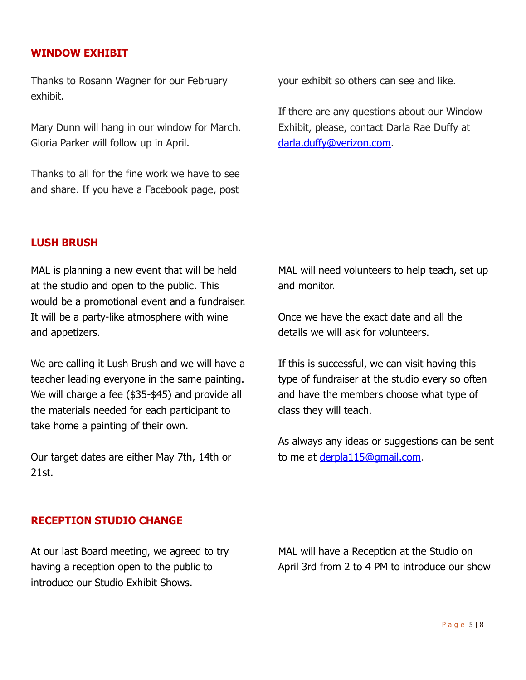#### WINDOW EXHIBIT

Thanks to Rosann Wagner for our February exhibit.

Mary Dunn will hang in our window for March. Gloria Parker will follow up in April.

Thanks to all for the fine work we have to see and share. If you have a Facebook page, post your exhibit so others can see and like.

If there are any questions about our Window Exhibit, please, contact Darla Rae Duffy at darla.duffy@verizon.com.

#### LUSH BRUSH

MAL is planning a new event that will be held at the studio and open to the public. This would be a promotional event and a fundraiser. It will be a party-like atmosphere with wine and appetizers.

We are calling it Lush Brush and we will have a teacher leading everyone in the same painting. We will charge a fee (\$35-\$45) and provide all the materials needed for each participant to take home a painting of their own.

Our target dates are either May 7th, 14th or 21st.

MAL will need volunteers to help teach, set up and monitor.

Once we have the exact date and all the details we will ask for volunteers.

If this is successful, we can visit having this type of fundraiser at the studio every so often and have the members choose what type of class they will teach.

As always any ideas or suggestions can be sent to me at derpla115@gmail.com.

#### RECEPTION STUDIO CHANGE

At our last Board meeting, we agreed to try having a reception open to the public to introduce our Studio Exhibit Shows.

MAL will have a Reception at the Studio on April 3rd from 2 to 4 PM to introduce our show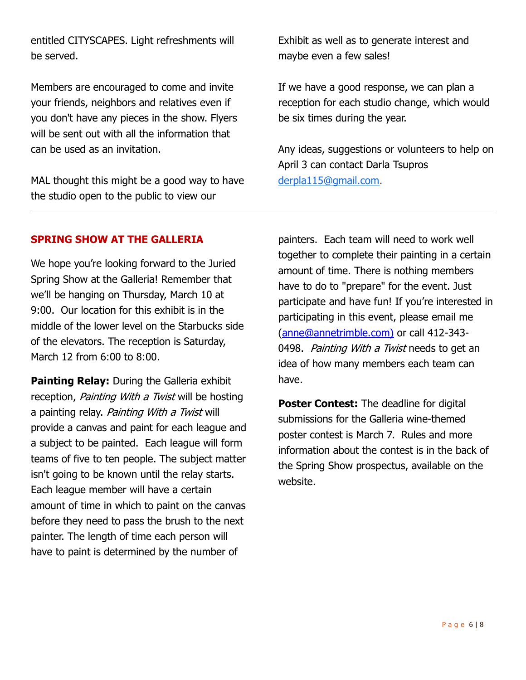entitled CITYSCAPES. Light refreshments will be served.

Members are encouraged to come and invite your friends, neighbors and relatives even if you don't have any pieces in the show. Flyers will be sent out with all the information that can be used as an invitation.

MAL thought this might be a good way to have the studio open to the public to view our

Exhibit as well as to generate interest and maybe even a few sales!

If we have a good response, we can plan a reception for each studio change, which would be six times during the year.

Any ideas, suggestions or volunteers to help on April 3 can contact Darla Tsupros derpla115@gmail.com.

#### SPRING SHOW AT THE GALLERIA

We hope you're looking forward to the Juried Spring Show at the Galleria! Remember that we'll be hanging on Thursday, March 10 at 9:00. Our location for this exhibit is in the middle of the lower level on the Starbucks side of the elevators. The reception is Saturday, March 12 from 6:00 to 8:00.

Painting Relay: During the Galleria exhibit reception, Painting With a Twist will be hosting a painting relay. Painting With a Twist will provide a canvas and paint for each league and a subject to be painted. Each league will form teams of five to ten people. The subject matter isn't going to be known until the relay starts. Each league member will have a certain amount of time in which to paint on the canvas before they need to pass the brush to the next painter. The length of time each person will have to paint is determined by the number of

painters. Each team will need to work well together to complete their painting in a certain amount of time. There is nothing members have to do to "prepare" for the event. Just participate and have fun! If you're interested in participating in this event, please email me (anne@annetrimble.com) or call 412-343- 0498. Painting With a Twist needs to get an idea of how many members each team can have.

Poster Contest: The deadline for digital submissions for the Galleria wine-themed poster contest is March 7. Rules and more information about the contest is in the back of the Spring Show prospectus, available on the website.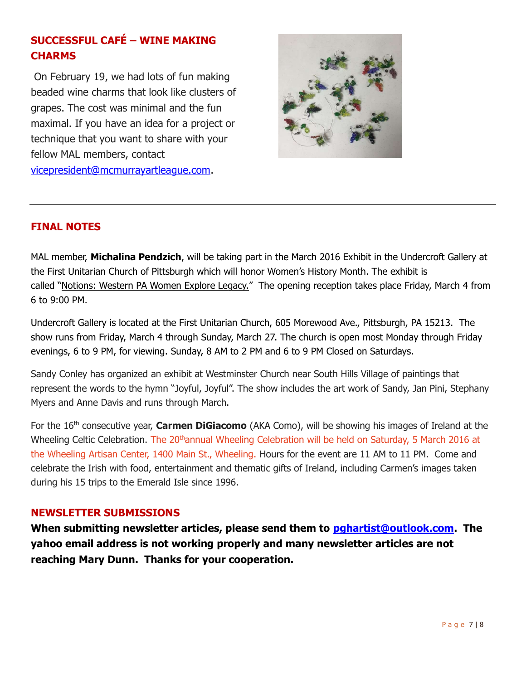### SUCCESSFUL CAFÉ – WINE MAKING **CHARMS**

 On February 19, we had lots of fun making beaded wine charms that look like clusters of grapes. The cost was minimal and the fun maximal. If you have an idea for a project or technique that you want to share with your fellow MAL members, contact vicepresident@mcmurrayartleague.com.



#### FINAL NOTES

MAL member, Michalina Pendzich, will be taking part in the March 2016 Exhibit in the Undercroft Gallery at the First Unitarian Church of Pittsburgh which will honor Women's History Month. The exhibit is called "Notions: Western PA Women Explore Legacy." The opening reception takes place Friday, March 4 from 6 to 9:00 PM.

Undercroft Gallery is located at the First Unitarian Church, 605 Morewood Ave., Pittsburgh, PA 15213. The show runs from Friday, March 4 through Sunday, March 27. The church is open most Monday through Friday evenings, 6 to 9 PM, for viewing. Sunday, 8 AM to 2 PM and 6 to 9 PM Closed on Saturdays.

Sandy Conley has organized an exhibit at Westminster Church near South Hills Village of paintings that represent the words to the hymn "Joyful, Joyful". The show includes the art work of Sandy, Jan Pini, Stephany Myers and Anne Davis and runs through March.

For the  $16<sup>th</sup>$  consecutive year, **Carmen DiGiacomo** (AKA Como), will be showing his images of Ireland at the Wheeling Celtic Celebration. The 20<sup>th</sup>annual Wheeling Celebration will be held on Saturday, 5 March 2016 at the Wheeling Artisan Center, 1400 Main St., Wheeling. Hours for the event are 11 AM to 11 PM. Come and celebrate the Irish with food, entertainment and thematic gifts of Ireland, including Carmen's images taken during his 15 trips to the Emerald Isle since 1996.

#### NEWSLETTER SUBMISSIONS

When submitting newsletter articles, please send them to **pghartist@outlook.com**. The yahoo email address is not working properly and many newsletter articles are not reaching Mary Dunn. Thanks for your cooperation.